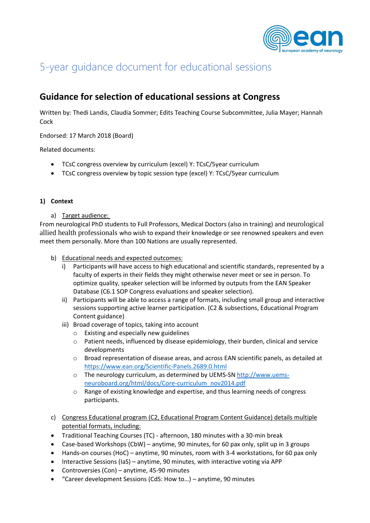

# 5-year guidance document for educational sessions

# **Guidance for selection of educational sessions at Congress**

Written by: Thedi Landis, Claudia Sommer; Edits Teaching Course Subcommittee, Julia Mayer; Hannah **Cock** 

Endorsed: 17 March 2018 (Board)

Related documents:

- TCsC congress overview by curriculum (excel) Y: TCsC/5year curriculum
- TCsC congress overview by topic session type (excel) Y: TCsC/5year curriculum

# **1) Context**

a) Target audience:

From neurological PhD students to Full Professors, Medical Doctors (also in training) and neurological allied health professionals who wish to expand their knowledge or see renowned speakers and even meet them personally. More than 100 Nations are usually represented.

- b) Educational needs and expected outcomes:
	- i) Participants will have access to high educational and scientific standards, represented by a faculty of experts in their fields they might otherwise never meet or see in person. To optimize quality, speaker selection will be informed by outputs from the EAN Speaker Database (C6.1 SOP Congress evaluations and speaker selection).
	- ii) Participants will be able to access a range of formats, including small group and interactive sessions supporting active learner participation. (C2 & subsections, Educational Program Content guidance)
	- iii) Broad coverage of topics, taking into account
		- o Existing and especially new guidelines
		- $\circ$  Patient needs, influenced by disease epidemiology, their burden, clinical and service developments
		- o Broad representation of disease areas, and across EAN scientific panels, as detailed at <https://www.ean.org/Scientific-Panels.2689.0.html>
		- o The neurology curriculum, as determined by UEMS-SN [http://www.uems](http://www.uems-neuroboard.org/html/docs/Core-curriculum_nov2014.pdf)[neuroboard.org/html/docs/Core-curriculum\\_nov2014.pdf](http://www.uems-neuroboard.org/html/docs/Core-curriculum_nov2014.pdf)
		- o Range of existing knowledge and expertise, and thus learning needs of congress participants.
- c) Congress Educational program (C2, Educational Program Content Guidance) details multiple potential formats, including:
- Traditional Teaching Courses (TC) afternoon, 180 minutes with a 30-min break
- Case-based Workshops (CbW) anytime, 90 minutes, for 60 pax only, split up in 3 groups
- Hands-on courses (HoC) anytime, 90 minutes, room with 3-4 workstations, for 60 pax only
- Interactive Sessions (IaS) anytime, 90 minutes, with interactive voting via APP
- Controversies (Con) anytime, 45-90 minutes
- "Career development Sessions (CdS: How to…) anytime, 90 minutes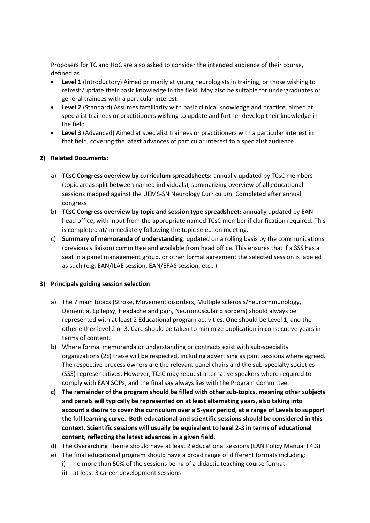Proposers for TC and HoC are also asked to consider the intended audience of their course, defined as

- **Level 1** (Introductory) Aimed primarily at young neurologists in training, or those wishing to refresh/update their basic knowledge in the field. May also be suitable for undergraduates or general trainees with a particular interest.
- **Level 2** (Standard) Assumes familiarity with basic clinical knowledge and practice, aimed at specialist trainees or practitioners wishing to update and further develop their knowledge in the field
- **Level 3** (Advanced) Aimed at specialist trainees or practitioners with a particular interest in that field, covering the latest advances of particular interest to a specialist audience

#### **2) Related Documents:**

- a) **TCsC Congress overview by curriculum spreadsheets:** annually updated by TCsC members (topic areas split between named individuals), summarizing overview of all educational sessions mapped against the UEMS-SN Neurology Curriculum. Completed after annual congress
- b) **TCsC Congress overview by topic and session type spreadsheet:** annually updated by EAN head office, with input from the appropriate named TCsC member if clarification required. This is completed at/immediately following the topic selection meeting.
- c) **Summary of memoranda of understanding**: updated on a rolling basis by the communications (previously liaison) committee and available from head office. This ensures that if a SSS has a seat in a panel management group, or other formal agreement the selected session is labeled as such (e.g. EAN/ILAE session, EAN/EFAS session, etc…)

# **3) Principals guiding session selection**

- a) The 7 main topics (Stroke, Movement disorders, Multiple sclerosis/neuroimmunology, Dementia, Epilepsy, Headache and pain, Neuromuscular disorders) should always be represented with at least 2 Educational program activities. One should be Level 1, and the other either level 2 or 3. Care should be taken to minimize duplication in consecutive years in terms of content.
- b) Where formal memoranda or understanding or contracts exist with sub-speciality organizations (2c) these will be respected, including advertising as joint sessions where agreed. The respective process owners are the relevant panel chairs and the sub-specialty societies (SSS) representatives. However, TCsC may request alternative speakers where required to comply with EAN SOPs, and the final say always lies with the Program Committee.
- **c) The remainder of the program should be filled with other sub-topics, meaning other subjects and panels will typically be represented on at least alternating years, also taking into account a desire to cover the curriculum over a 5-year period, at a range of Levels to support the full learning curve. Both educational and scientific sessions should be considered in this context. Scientific sessions will usually be equivalent to level 2-3 in terms of educational content, reflecting the latest advances in a given field.**
- d) The Overarching Theme should have at least 2 educational sessions (EAN Policy Manual F4.3)
- e) The final educational program should have a broad range of different formats including:
	- i) no more than 50% of the sessions being of a didactic teaching course format
	- ii) at least 3 career development sessions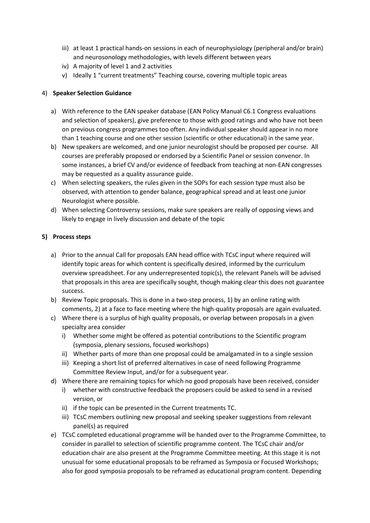- iii) at least 1 practical hands-on sessions in each of neurophysiology (peripheral and/or brain) and neurosonology methodologies, with levels different between years
- iv) A majority of level 1 and 2 activities
- v) Ideally 1 "current treatments" Teaching course, covering multiple topic areas

# 4) **Speaker Selection Guidance**

- a) With reference to the EAN speaker database (EAN Policy Manual C6.1 Congress evaluations and selection of speakers), give preference to those with good ratings and who have not been on previous congress programmes too often. Any individual speaker should appear in no more than 1 teaching course and one other session (scientific or other educational) in the same year.
- b) New speakers are welcomed, and one junior neurologist should be proposed per course. All courses are preferably proposed or endorsed by a Scientific Panel or session convenor. In some instances, a brief CV and/or evidence of feedback from teaching at non-EAN congresses may be requested as a quality assurance guide.
- c) When selecting speakers, the rules given in the SOPs for each session type must also be observed, with attention to gender balance, geographical spread and at least one junior Neurologist where possible.
- d) When selecting Controversy sessions, make sure speakers are really of opposing views and likely to engage in lively discussion and debate of the topic

# **5) Process steps**

- a) Prior to the annual Call for proposals EAN head office with TCsC input where required will identify topic areas for which content is specifically desired, informed by the curriculum overview spreadsheet. For any underrepresented topic(s), the relevant Panels will be advised that proposals in this area are specifically sought, though making clear this does not guarantee success.
- b) Review Topic proposals. This is done in a two-step process, 1) by an online rating with comments, 2) at a face to face meeting where the high-quality proposals are again evaluated.
- c) Where there is a surplus of high quality proposals, or overlap between proposals in a given specialty area consider
	- i) Whether some might be offered as potential contributions to the Scientific program (symposia, plenary sessions, focused workshops)
	- ii) Whether parts of more than one proposal could be amalgamated in to a single session
	- iii) Keeping a short list of preferred alternatives in case of need following Programme Committee Review Input, and/or for a subsequent year.
- d) Where there are remaining topics for which no good proposals have been received, consider
	- i) whether with constructive feedback the proposers could be asked to send in a revised version, or
	- ii) if the topic can be presented in the Current treatments TC.
	- iii) TCsC members outlining new proposal and seeking speaker suggestions from relevant panel(s) as required
- e) TCsC completed educational programme will be handed over to the Programme Committee, to consider in parallel to selection of scientific programme content. The TCsC chair and/or education chair are also present at the Programme Committee meeting. At this stage it is not unusual for some educational proposals to be reframed as Symposia or Focused Workshops; also for good symposia proposals to be reframed as educational program content. Depending